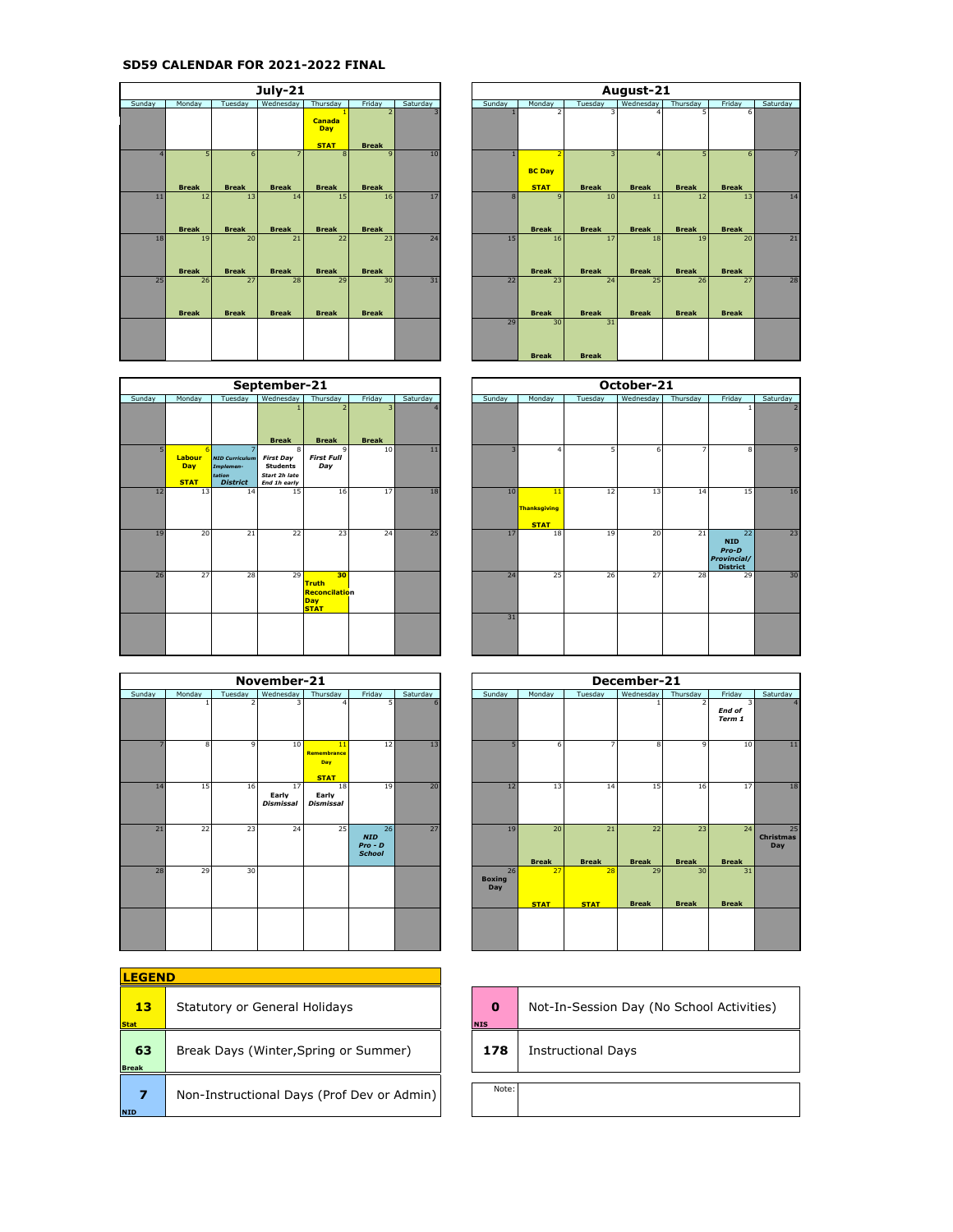## **SD59 CALENDAR FOR 2021-2022 FINAL**

|                |                    |                    | <b>July-21</b>                 |                              |                              |                         |
|----------------|--------------------|--------------------|--------------------------------|------------------------------|------------------------------|-------------------------|
| Sunday         | Monday             | Tuesday            | Wednesday                      | Thursday                     | Friday                       | Saturday                |
|                |                    |                    |                                | <b>Canada</b><br>Day         | $\overline{2}$               | $\overline{\mathbf{3}}$ |
|                |                    |                    |                                | <b>STAT</b>                  | <b>Break</b>                 |                         |
| $\overline{4}$ | 5<br><b>Break</b>  | 6<br><b>Break</b>  | $\overline{7}$<br><b>Break</b> | $\mathbf{8}$<br><b>Break</b> | $\mathbf{q}$<br><b>Break</b> | 10                      |
| 11             | 12<br><b>Break</b> | 13<br><b>Break</b> | 14<br><b>Break</b>             | 15<br><b>Break</b>           | 16<br><b>Break</b>           | 17                      |
| 18             | 19<br><b>Break</b> | 20<br><b>Break</b> | 21<br><b>Break</b>             | 22<br><b>Break</b>           | 23<br><b>Break</b>           | 24                      |
| 25             | 26<br><b>Break</b> | 27<br><b>Break</b> | 28<br><b>Break</b>             | 29<br><b>Break</b>           | 30<br><b>Break</b>           | 31                      |
|                |                    |                    |                                |                              |                              |                         |

|        |                              |                                                                 | September-21                                                              |                                                           |                                |          |        |                                          |         | October-21 |  |
|--------|------------------------------|-----------------------------------------------------------------|---------------------------------------------------------------------------|-----------------------------------------------------------|--------------------------------|----------|--------|------------------------------------------|---------|------------|--|
| Sunday | Monday                       | Tuesday                                                         | Wednesday                                                                 | Thursday                                                  | Friday                         | Saturday | Sunday | Monday                                   | Tuesday | Wednesday  |  |
|        |                              |                                                                 | <b>Break</b>                                                              | <b>Break</b>                                              | $\overline{3}$<br><b>Break</b> |          |        |                                          |         |            |  |
| 5      | Labour<br>Day<br><b>STAT</b> | <b>NID Curriculum</b><br>Implemen-<br>tation<br><b>District</b> | 8<br><b>First Day</b><br><b>Students</b><br>Start 2h late<br>End 1h early | 9<br><b>First Full</b><br>Day                             | 10                             | 11       | ٩      | $\Delta$                                 | 5       | 6          |  |
| 12     | 13                           | 14                                                              | 15                                                                        | 16                                                        | 17                             | 18       | 10     | 11<br><b>Thanksgiving</b><br><b>STAT</b> | 12      | 13         |  |
| 19     | 20                           | 21                                                              | 22                                                                        | 23                                                        | 24                             | 25       | 17     | 18                                       | 19      | 20         |  |
| 26     | 27                           | 28                                                              | 29                                                                        | 30<br><b>Truth</b><br>Reconcilation<br>Day<br><b>STAT</b> |                                |          | 24     | 25                                       | 26      | 27         |  |
|        |                              |                                                                 |                                                                           |                                                           |                                |          | 31     |                                          |         |            |  |

|        |        |         | November-21                     |                                         |                                                |          |                            |                    |                    | December-21        |                    |                    |
|--------|--------|---------|---------------------------------|-----------------------------------------|------------------------------------------------|----------|----------------------------|--------------------|--------------------|--------------------|--------------------|--------------------|
| Sunday | Monday | Tuesday | Wednesday                       | Thursday                                | Friday                                         | Saturday | Sunday                     | Monday             | Tuesday            | Wednesday          | Thursday           | Friday             |
|        |        |         | 3                               | $\overline{a}$                          | 5                                              | 6        |                            |                    |                    |                    | $\overline{2}$     | End of<br>Term 1   |
|        | 8      | ٩       | 10                              | 11<br>Remembrance<br>Day<br><b>STAT</b> | 12 <sup>1</sup>                                | 13       | 5                          | 6                  |                    | 8                  | $\mathbf{Q}$       | 10                 |
| 14     | 15     | 16      | 17<br>Early<br><b>Dismissal</b> | 18<br>Early<br><b>Dismissal</b>         | 19                                             | 20       | 12                         | 13                 | 14                 | 15                 | 16                 | 17                 |
| 21     | 22     | 23      | 24                              | 25                                      | 26<br><b>NID</b><br>$Pro - D$<br><b>School</b> | 27       | 19                         | 20<br><b>Break</b> | 21<br><b>Break</b> | 22<br><b>Break</b> | 23<br><b>Break</b> | 24<br><b>Break</b> |
| 28     | 29     | 30      |                                 |                                         |                                                |          | 26<br><b>Boxing</b><br>Day | 27<br><b>STAT</b>  | 28<br><b>STAT</b>  | 29<br><b>Break</b> | 30<br><b>Break</b> | 31<br><b>Break</b> |
|        |        |         |                                 |                                         |                                                |          |                            |                    |                    |                    |                    |                    |

| <b>LEGEND</b>      |                                            |                 |
|--------------------|--------------------------------------------|-----------------|
| 13<br><b>Stat</b>  | Statutory or General Holidays              | ŋ<br><b>NIS</b> |
| 63<br><b>Break</b> | Break Days (Winter, Spring or Summer)      | 17              |
| 7<br>NID           | Non-Instructional Days (Prof Dev or Admin) | N               |

|                |                    |                    | <b>July-21</b>                 |                                            |                                          |          | August-21<br>Sunday<br>Monday<br>Wednesday<br>Friday<br>Tuesday<br>Thursday<br>5<br>6<br>Δ<br>5<br>$\mathbf{R}$<br>٠<br>6<br><b>BC Day</b><br><b>STAT</b><br><b>Break</b><br><b>Break</b><br><b>Break</b><br><b>Break</b><br>10<br>13<br>8<br>11<br>$\mathbf{Q}$<br>12<br><b>Break</b><br><b>Break</b><br><b>Break</b><br><b>Break</b><br><b>Break</b><br>15<br>17<br>20<br>18<br>19<br>16<br><b>Break</b><br><b>Break</b><br><b>Break</b><br><b>Break</b><br><b>Break</b><br>23<br>22<br>24<br>25<br>27<br>26<br><b>Break</b><br><b>Break</b><br><b>Break</b><br><b>Break</b><br><b>Break</b><br>30<br>31<br>29 |              |              |  |  |                |
|----------------|--------------------|--------------------|--------------------------------|--------------------------------------------|------------------------------------------|----------|------------------------------------------------------------------------------------------------------------------------------------------------------------------------------------------------------------------------------------------------------------------------------------------------------------------------------------------------------------------------------------------------------------------------------------------------------------------------------------------------------------------------------------------------------------------------------------------------------------------|--------------|--------------|--|--|----------------|
| Sunday         | Monday             | Tuesday            | Wednesday                      | Thursday                                   | Friday                                   | Saturday |                                                                                                                                                                                                                                                                                                                                                                                                                                                                                                                                                                                                                  |              |              |  |  | Saturday       |
|                |                    |                    |                                | <b>Canada</b><br><b>Day</b><br><b>STAT</b> | $\overline{\phantom{0}}$<br><b>Break</b> |          |                                                                                                                                                                                                                                                                                                                                                                                                                                                                                                                                                                                                                  |              |              |  |  |                |
| $\overline{A}$ | 5<br><b>Break</b>  | 6<br><b>Break</b>  | $\overline{7}$<br><b>Break</b> | s<br><b>Break</b>                          | $\mathbf{q}$<br><b>Break</b>             | 10       |                                                                                                                                                                                                                                                                                                                                                                                                                                                                                                                                                                                                                  |              |              |  |  | $\overline{7}$ |
| 11             | 12<br><b>Break</b> | 13<br><b>Break</b> | 14<br><b>Break</b>             | 15<br><b>Break</b>                         | 16<br><b>Break</b>                       | 17       |                                                                                                                                                                                                                                                                                                                                                                                                                                                                                                                                                                                                                  |              |              |  |  | 14             |
| 18             | 19<br><b>Break</b> | 20<br><b>Break</b> | 21<br><b>Break</b>             | 22<br><b>Break</b>                         | 23<br><b>Break</b>                       | 24       |                                                                                                                                                                                                                                                                                                                                                                                                                                                                                                                                                                                                                  |              |              |  |  | 21             |
| 25             | 26<br><b>Break</b> | 27<br><b>Break</b> | 28<br><b>Break</b>             | 29<br><b>Break</b>                         | 30<br><b>Break</b>                       | 31       |                                                                                                                                                                                                                                                                                                                                                                                                                                                                                                                                                                                                                  |              |              |  |  | 28             |
|                |                    |                    |                                |                                            |                                          |          |                                                                                                                                                                                                                                                                                                                                                                                                                                                                                                                                                                                                                  | <b>Break</b> | <b>Break</b> |  |  |                |

|                |                                    |                                                                      | September-21                                                                              |                                                                  |                    |          |
|----------------|------------------------------------|----------------------------------------------------------------------|-------------------------------------------------------------------------------------------|------------------------------------------------------------------|--------------------|----------|
| Sunday         | Monday                             | Tuesdav                                                              | Wednesday                                                                                 | Thursday                                                         | Friday             | Saturday |
|                |                                    |                                                                      |                                                                                           |                                                                  | ٩                  |          |
| 5 <sup>1</sup> | A.<br>Labour<br>Day<br><b>STAT</b> | 7<br><b>NID Curriculum</b><br>Implemen-<br>tation<br><b>District</b> | <b>Break</b><br>8<br><b>First Day</b><br><b>Students</b><br>Start 2h late<br>End 1h early | <b>Break</b><br>9<br><b>First Full</b><br>Day                    | <b>Break</b><br>10 | 11       |
| 12             | 13                                 | 14                                                                   | 15                                                                                        | 16                                                               | 17                 | 18       |
| 19             | 20                                 | 21                                                                   | 22                                                                                        | 23                                                               | 24                 | 25       |
| 26             | 27                                 | 28                                                                   | 29                                                                                        | 30<br><b>Truth</b><br>Reconcilation<br><b>Day</b><br><b>STAT</b> |                    |          |
|                |                                    |                                                                      |                                                                                           |                                                                  |                    |          |

|        |        |         | November-21                     |                                         |                                                |          | December-21<br>Sunday<br>Monday<br>Tuesday<br>Wednesday<br>Thursday<br>Friday<br>3<br>$\overline{2}$<br>End of<br>Term 1<br>5<br>$\overline{7}$<br>10 <sup>1</sup><br>8<br>$\mathbf{q}$<br>6<br>12<br>13<br>14<br>15<br>16<br>17<br>19<br>24<br>20<br>21<br>22<br>23<br><b>Break</b><br><b>Break</b><br><b>Break</b><br><b>Break</b><br><b>Break</b><br>26<br>28<br>30<br>27<br>31<br>29<br><b>Boxing</b><br>Day<br><b>Break</b><br><b>Break</b><br><b>Break</b><br><b>STAT</b><br><b>STAT</b> |  |  |  |  |                               |
|--------|--------|---------|---------------------------------|-----------------------------------------|------------------------------------------------|----------|------------------------------------------------------------------------------------------------------------------------------------------------------------------------------------------------------------------------------------------------------------------------------------------------------------------------------------------------------------------------------------------------------------------------------------------------------------------------------------------------|--|--|--|--|-------------------------------|
| Sunday | Monday | Tuesday | Wednesday                       | Thursday                                | Friday                                         | Saturday |                                                                                                                                                                                                                                                                                                                                                                                                                                                                                                |  |  |  |  | Saturday                      |
|        |        | 2       | 3                               | $\overline{a}$                          |                                                |          |                                                                                                                                                                                                                                                                                                                                                                                                                                                                                                |  |  |  |  |                               |
|        | 8      | 9       | 10                              | 11<br>Remembrance<br>Day<br><b>STAT</b> | 12                                             | 13       |                                                                                                                                                                                                                                                                                                                                                                                                                                                                                                |  |  |  |  | 11                            |
| 14     | 15     | 16      | 17<br>Early<br><b>Dismissal</b> | 18<br>Early<br><b>Dismissal</b>         | 19                                             | 20       |                                                                                                                                                                                                                                                                                                                                                                                                                                                                                                |  |  |  |  | 18                            |
| 21     | 22     | 23      | 24                              | 25                                      | 26<br><b>NID</b><br>$Pro - D$<br><b>School</b> | 27       |                                                                                                                                                                                                                                                                                                                                                                                                                                                                                                |  |  |  |  | 25<br><b>Christmas</b><br>Day |
| 28     | 29     | 30      |                                 |                                         |                                                |          |                                                                                                                                                                                                                                                                                                                                                                                                                                                                                                |  |  |  |  |                               |
|        |        |         |                                 |                                         |                                                |          |                                                                                                                                                                                                                                                                                                                                                                                                                                                                                                |  |  |  |  |                               |

| $\bf{0}$<br><b>NIS</b> | Not-In-Session Day (No School Activities) |
|------------------------|-------------------------------------------|
| 178                    | <b>Instructional Days</b>                 |
|                        |                                           |
| Note:                  |                                           |